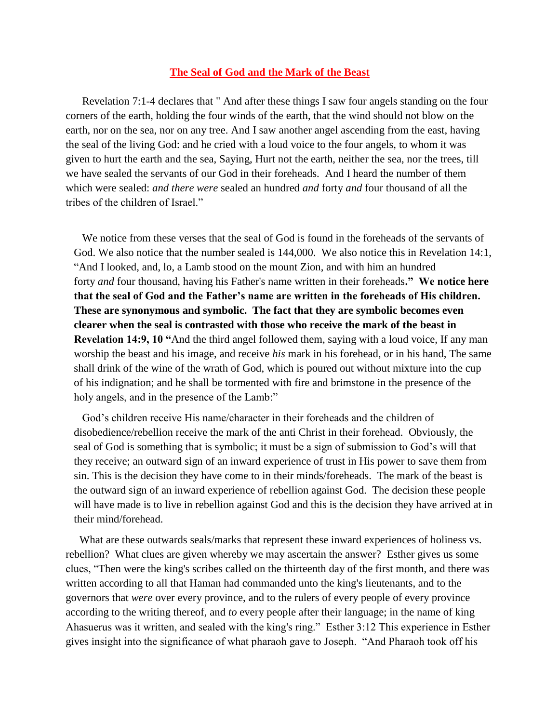## **The Seal of God and the Mark of the Beast**

 Revelation 7:1-4 declares that " [And after these things I saw four angels standing on the four](http://www.kingjamesbibleonline.org/Revelation-7-1/)  [corners of the earth, holding the four winds of the earth, that the wind should not blow on the](http://www.kingjamesbibleonline.org/Revelation-7-1/)  [earth, nor on the sea, nor on any tree.](http://www.kingjamesbibleonline.org/Revelation-7-1/) [And I saw another angel ascending from the east, having](http://www.kingjamesbibleonline.org/Revelation-7-2/)  [the seal of the living God: and he cried with a loud voice to the four angels, to whom it was](http://www.kingjamesbibleonline.org/Revelation-7-2/)  [given to hurt the earth and the sea,](http://www.kingjamesbibleonline.org/Revelation-7-2/) [Saying, Hurt not the earth, neither the sea, nor the trees, till](http://www.kingjamesbibleonline.org/Revelation-7-3/)  [we have sealed the servants of our God in their foreheads.](http://www.kingjamesbibleonline.org/Revelation-7-3/) And I heard the number of them which were sealed: *and there were* sealed an hundred *and* forty *and* four thousand of all the tribes of the children of Israel."

 We notice from these verses that the seal of God is found in the foreheads of the servants of God. We also notice that the number sealed is 144,000. We also notice this in Revelation 14:1, "And I looked, and, lo, a Lamb stood on the mount Zion, and with him an hundred forty *and* four thousand, having his Father's name written in their foreheads**." We notice here that the seal of God and the Father's name are written in the foreheads of His children. These are synonymous and symbolic. The fact that they are symbolic becomes even clearer when the seal is contrasted with those who receive the mark of the beast in Revelation 14:9, 10 "**And the third angel followed them, saying with a loud voice, If any man worship the beast and his image, and receive *his* mark in his forehead, or in his hand, The same shall drink of the wine of the wrath of God, which is poured out without mixture into the cup of his indignation; and he shall be tormented with fire and brimstone in the presence of the holy angels, and in the presence of the Lamb:"

 God's children receive His name/character in their foreheads and the children of disobedience/rebellion receive the mark of the anti Christ in their forehead. Obviously, the seal of God is something that is symbolic; it must be a sign of submission to God's will that they receive; an outward sign of an inward experience of trust in His power to save them from sin. This is the decision they have come to in their minds/foreheads. The mark of the beast is the outward sign of an inward experience of rebellion against God. The decision these people will have made is to live in rebellion against God and this is the decision they have arrived at in their mind/forehead.

What are these outwards seals/marks that represent these inward experiences of holiness vs. rebellion? What clues are given whereby we may ascertain the answer? Esther gives us some clues, "Then were the king's scribes called on the thirteenth day of the first month, and there was written according to all that Haman had commanded unto the king's lieutenants, and to the governors that *were* over every province, and to the rulers of every people of every province according to the writing thereof, and *to* every people after their language; in the name of king Ahasuerus was it written, and sealed with the king's ring." Esther 3:12 This experience in Esther gives insight into the significance of what pharaoh gave to Joseph. "And Pharaoh took off his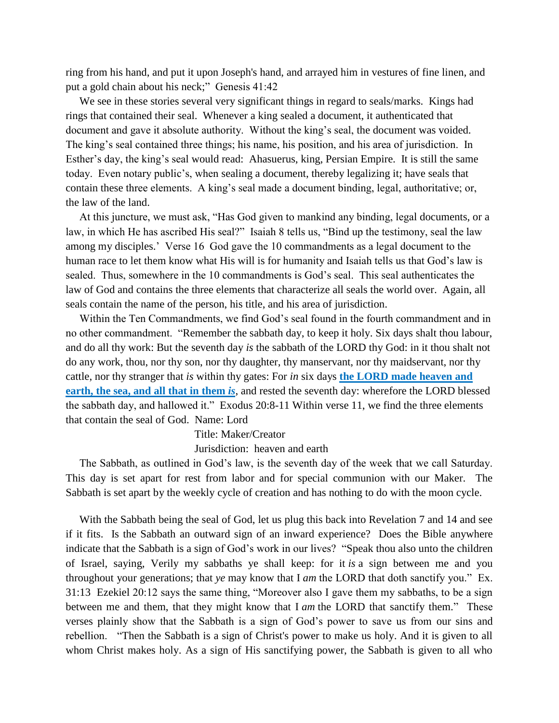ring from his hand, and put it upon Joseph's hand, and arrayed him in vestures of fine linen, and put a gold chain about his neck;" Genesis 41:42

 We see in these stories several very significant things in regard to seals/marks. Kings had rings that contained their seal. Whenever a king sealed a document, it authenticated that document and gave it absolute authority. Without the king's seal, the document was voided. The king's seal contained three things; his name, his position, and his area of jurisdiction. In Esther's day, the king's seal would read: Ahasuerus, king, Persian Empire. It is still the same today. Even notary public's, when sealing a document, thereby legalizing it; have seals that contain these three elements. A king's seal made a document binding, legal, authoritative; or, the law of the land.

 At this juncture, we must ask, "Has God given to mankind any binding, legal documents, or a law, in which He has ascribed His seal?" Isaiah 8 tells us, "Bind up the testimony, seal the law among my disciples.' Verse 16 God gave the 10 commandments as a legal document to the human race to let them know what His will is for humanity and Isaiah tells us that God's law is sealed. Thus, somewhere in the 10 commandments is God's seal. This seal authenticates the law of God and contains the three elements that characterize all seals the world over. Again, all seals contain the name of the person, his title, and his area of jurisdiction.

 Within the Ten Commandments, we find God's seal found in the fourth commandment and in no other commandment. "Remember the sabbath day, to keep it holy. Six days shalt thou labour, and do all thy work: But the seventh day *is* the sabbath of the LORD thy God: in it thou shalt not do any work, thou, nor thy son, nor thy daughter, thy manservant, nor thy maidservant, nor thy cattle, nor thy stranger that *is* within thy gates: For *in* six days **the LORD made heaven and earth, the sea, and all that in them** *is*, and rested the seventh day: wherefore the LORD blessed the sabbath day, and hallowed it." Exodus 20:8-11 Within verse 11, we find the three elements that contain the seal of God. Name: Lord

## Title: Maker/Creator

## Jurisdiction: heaven and earth

 The Sabbath, as outlined in God's law, is the seventh day of the week that we call Saturday. This day is set apart for rest from labor and for special communion with our Maker. The Sabbath is set apart by the weekly cycle of creation and has nothing to do with the moon cycle.

 With the Sabbath being the seal of God, let us plug this back into Revelation 7 and 14 and see if it fits. Is the Sabbath an outward sign of an inward experience? Does the Bible anywhere indicate that the Sabbath is a sign of God's work in our lives? "Speak thou also unto the children of Israel, saying, Verily my sabbaths ye shall keep: for it *is* a sign between me and you throughout your generations; that *ye* may know that I *am* the LORD that doth sanctify you." Ex. 31:13 Ezekiel 20:12 says the same thing, "Moreover also I gave them my sabbaths, to be a sign between me and them, that they might know that I *am* the LORD that sanctify them." These verses plainly show that the Sabbath is a sign of God's power to save us from our sins and rebellion. "Then the Sabbath is a sign of Christ's power to make us holy. And it is given to all whom Christ makes holy. As a sign of His sanctifying power, the Sabbath is given to all who